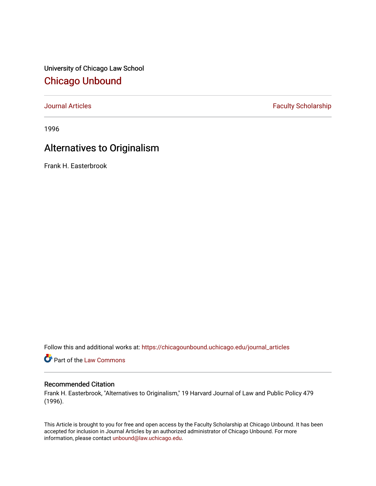University of Chicago Law School [Chicago Unbound](https://chicagounbound.uchicago.edu/)

[Journal Articles](https://chicagounbound.uchicago.edu/journal_articles) **Faculty Scholarship Faculty Scholarship** 

1996

## Alternatives to Originalism

Frank H. Easterbrook

Follow this and additional works at: [https://chicagounbound.uchicago.edu/journal\\_articles](https://chicagounbound.uchicago.edu/journal_articles?utm_source=chicagounbound.uchicago.edu%2Fjournal_articles%2F1171&utm_medium=PDF&utm_campaign=PDFCoverPages) 

Part of the [Law Commons](http://network.bepress.com/hgg/discipline/578?utm_source=chicagounbound.uchicago.edu%2Fjournal_articles%2F1171&utm_medium=PDF&utm_campaign=PDFCoverPages)

## Recommended Citation

Frank H. Easterbrook, "Alternatives to Originalism," 19 Harvard Journal of Law and Public Policy 479 (1996).

This Article is brought to you for free and open access by the Faculty Scholarship at Chicago Unbound. It has been accepted for inclusion in Journal Articles by an authorized administrator of Chicago Unbound. For more information, please contact [unbound@law.uchicago.edu](mailto:unbound@law.uchicago.edu).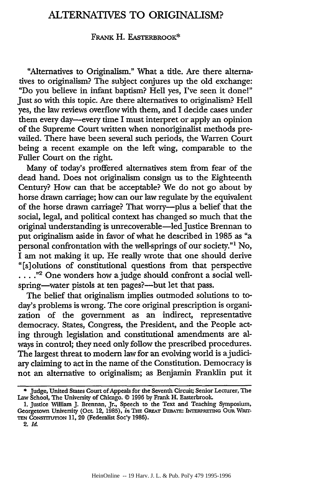## ALTERNATIVES TO ORIGINALISM?

## FRANK H. EAsTERBROOK

"Alternatives to Originalism." What a title. Are there alternatives to originalism? The subject conjures up the old exchange: "Do you believe in infant baptism? Hell yes, I've seen it done!" Just so with this topic. Are there alternatives to originalism? Hell yes, the law reviews overflow with them, and I decide cases under them every day-every time I must interpret or apply an opinion of the Supreme Court written when nonoriginalist methods prevailed. There have been several such periods, the Warren Court being a recent example on the left wing, comparable to the Fuller Court on the right.

Many of today's proffered alternatives stem from fear of the dead hand. Does not originalism consign us to the Eighteenth Century? How can that be acceptable? We do not go about by horse drawn carriage; how can our law regulate by the equivalent of the horse drawn carriage? That worry-plus a belief that the social, legal, and political context has changed so much that the original understanding is unrecoverable-led Justice Brennan to put originalism aside in favor of what he described in 1985 as "a personal confrontation with the well-springs of our society."' No, I am not making it up. He really wrote that one should derive "[s]olutions of constitutional questions from that perspective ... **."2** One wonders how a judge should confront a social wellspring-water pistols at ten pages?---but let that pass.

The belief that originalism implies outmoded solutions to today's problems is wrong. The core original prescription is organization of the government as an indirect, representative democracy. States, Congress, the President, and the People acting through legislation and constitutional amendments are always in control; they need only follow the prescribed procedures. The largest threat to modern law for an evolving world is ajudiciary claiming to act in the name of the Constitution. Democracy is not an alternative to originalism; as Benjamin Franklin put it

**<sup>\*</sup>** Judge, United States Court of Appeals *for* the Seventh Circuit; Senior Lecturer, The Law School, The University of Chicago. **0 1996** by Frank H. Easterbrook.

<sup>1.</sup> Justice William J. Brennan, Jr., Speech to the Text and Teaching Symposium, Georgetown University (Oct. *12,* 1985), *in* THE **GREAT** DEBATE: **INTERPRET NG OUR** Wn-r-**TEN CONSTIUION** 11, 20 (Federalist Soc'y 1986).

<sup>2.</sup> 1&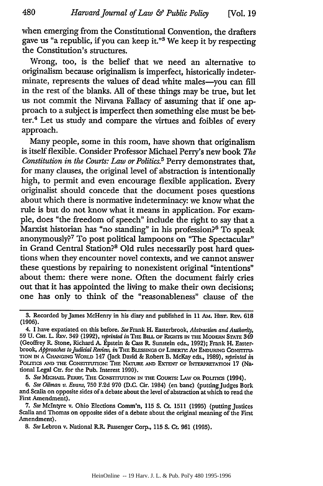when emerging from the Constitutional Convention, the drafters gave us "a republic, if you can keep it."<sup>3</sup> We keep it by respecting the Constitution's structures.

Wrong, too, is the belief that we need an alternative to originalism because originalism is imperfect, historically indeterminate, represents the values of dead white males-you can fill in the rest of the blanks. All of these things may be true, but let us not commit the Nirvana Fallacy of assuming that if one approach to a subject is imperfect then something else must be better.<sup>4</sup> Let us study and compare the virtues and foibles of every approach.

Many people, some in this room, have shown that originalism is itself flexible. Consider Professor Michael Perry's new book *The Constitution in the Courts: Law or Politics.5* Perry demonstrates that, for many clauses, the original level of abstraction is intentionally high, to permit and even encourage flexible application. Every originalist should concede that the document poses questions about which there is normative indeterminacy: we know what the rule is but do not know what it means in application. For example, does "the freedom of speech" include the right to say that a Marxist historian has "no standing" in his profession?<sup>6</sup> To speak anonymously?' To post political lampoons on "The Spectacular" in Grand Central Station?8 Old rules necessarily post hard questions when they encounter novel contexts, and we cannot answer these questions by repairing to nonexistent original "intentions" about them: there were none. Often the document fairly cries out that it has appointed the living to make their own decisions; one has only to think of the "reasonableness" clause of the

5. *See* MicHAEL PERRY, THE **CONSmTUTION IN** THE COURTS: **LAW** OR **PoLTcs** (1994).

*6. See Olman v. Evans,* 750 F.2d 970 (D.C. Cir. 1984) (en banc) (puttingJudges Bork and Scalia on opposite sides of a debate about the level of abstraction at which to read the First Amendment).

*7. See* McIntyre v. Ohio Elections Comm'n, 115 **S.** Ct. 1511 (1995) (putting Justices Scalia and Thomas on opposite sides of a debate about the original meaning of the First Amendment).

8. *See* Lebron v. National R.R. Passenger Corp., 115 **S. CL** 961 (1995).

**<sup>3.</sup>** Recorded byJames McHenry in his diary and published in 11 AM. HIST. REV. **618 (1906).**

<sup>4.</sup> I have expatiated on this before. *See* Frank H. Easterbrook, *Abstraction and Authority,* **59 U. CHI. L. REV.** 349 (1992), *reprinted in* **THE BILL** OF **RIGHTS IN THE** MODERN **STATE** 349 (Geoffrey R Stone, Richard **A.** Epstein & Cass **R.** Sunstein eds., **1992);** Frank H. Easterbrook, *Approaches to judicial Review, in* **THE BLESSINGS OF LEr'. AN ENDURING CONSTITU. TION** IN **A CHANGING WORLD** 147 (Jack David & Robert B. McKay eds., 1989), *reprinted in* PoLmcs **AND** THE CoNsTrunON: THE NATURE **AND EXTENT** OF INTERPRETATION 17 (National Legal Ctr. for the Pub. Interest 1990).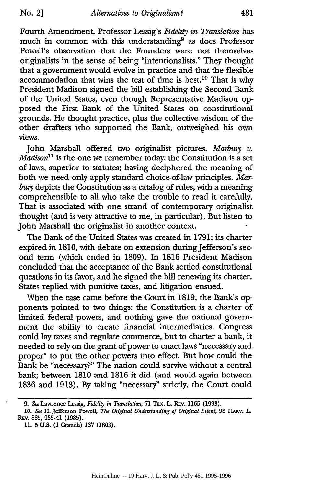Fourth Amendment. Professor Lessig's *Fidelity in Translation* has much in common with this understanding $9$  as does Professor Powell's observation that the Founders were not themselves originalists in the sense of being "intentionalists." They thought that a government would evolve in practice and that the flexible accommodation that wins the test of time is best.10 That is why President Madison signed the bill establishing the Second Bank of the United States, even though Representative Madison opposed the First Bank of the United States on constitutional grounds. He thought practice, plus the collective wisdom of the other drafters who supported the Bank, outweighed his own views.

John Marshall offered two originalist pictures. *Marbury v. Madison"1* is the one we remember today: the Constitution is a set of laws, superior to statutes; having deciphered the meaning of both we need only apply standard choice-of-law principles. *Marbury* depicts the Constitution as a catalog of rules, with a meaning comprehensible to all who take the trouble to read it carefully. That is associated with one strand of contemporary originalist thought (and is very attractive to me, in particular). But listen to John Marshall the originalist in another context.

The Bank of the United States was created in 1791; its charter expired in 1810, with debate on extension during Jefferson's second term (which ended in 1809). In 1816 President Madison concluded that the acceptance of the Bank settled constitutional questions in its favor, and he signed the bill renewing its charter. States replied with punitive taxes, and litigation ensued.

When the case came before the Court in 1819, the Bank's opponents pointed to two things: the Constitution is a charter of limited federal powers, and nothing gave the national government the ability to create financial intermediaries. Congress could lay taxes and regulate commerce, but to charter a bank, it needed to rely on the grant of power to enact laws "necessary and proper" to put the other powers into effect. But how could the Bank be "necessary?" The nation could survive without a central bank; between 1810 and 1816 it did (and would again between 1836 and 1913). By taking "necessary" strictly, the Court could

**<sup>9.</sup>** *See* Lawrence Lessig, *Flddity in Translation,* **71** TEx. L. REv. **1165** (1993).

<sup>10.</sup> See H. Jefferson Powell, *The Original Understanding of Original Intent*, 98 HARV. L. REV. 885, 935-41 (1985).

**<sup>11.</sup>** 5 U.S. (1 Cranch) **137** (1803).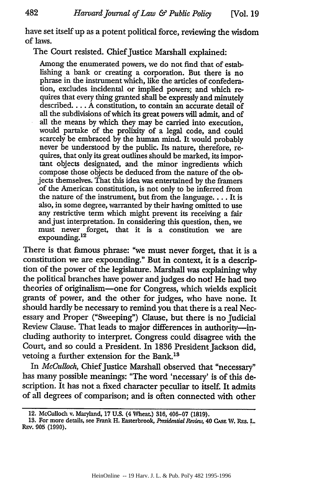have set itself up as a potent political force, reviewing the wisdom of laws.

The Court resisted. Chief Justice Marshall explained:

Among the enumerated powers, we do not find that of establishing a bank or creating a corporation. But there is no phrase in the instrument which, like the articles of confederation, excludes incidental or implied powers; and which requires that every thing granted shall be expressly and minutely described.... A constitution, to contain an accurate detail of all the subdivisions of which its great powers will admit, and of all the means by which they may be carried into execution, would partake of the prolixity of a legal code, and could scarcely be embraced by the human mind. It would probably never be understood by the public. Its nature, therefore, requires, that only its great outlines should be marked, its important objects designated, and the minor ingredients which compose those objects be deduced from the nature of the objects themselves. That this idea was entertained by the framers of the American constitution, is not only to be inferred from the nature of the instrument, but from the language.... It is also, in some degree, warranted by their having omitted to use any restrictive term which might prevent its receiving a fair and just interpretation. In considering this question, then, we must never forget, that it is a constitution we are expounding.12

There is that famous phrase: "we must never forget, that it is a constitution we are expounding." But in context, it is a description of the power of the legislature. Marshall was explaining why the political branches have power and judges do not! He had two theories of originalism-one for Congress, which wields explicit grants of power, and the other for judges, who have none. It should hardly be necessary to remind you that there is a real Necessary and Proper ("Sweeping") Clause, but there is no Judicial Review Clause. That leads to major differences in authority-including authority to interpret. Congress could disagree with the Court, and so could a President. In 1836 President Jackson did, vetoing a further extension for the Bank.<sup>13</sup>

In *McCulloch,* Chief Justice Marshall observed that "necessary" has many possible meanings: "The word 'necessary' is of this description. It has not a fixed character peculiar to itself. It admits of all degrees of comparison; and is often connected with other

<sup>12.</sup> McCulloch v. Maryland, 17 U.S. (4 Wheat.) 316, 406-07 (1819).

**<sup>13.</sup>** For more details, see Frank H. Easterbrook, *Presidential Review,* 40 **CASE** W. REs. L. REv. 905 (1990).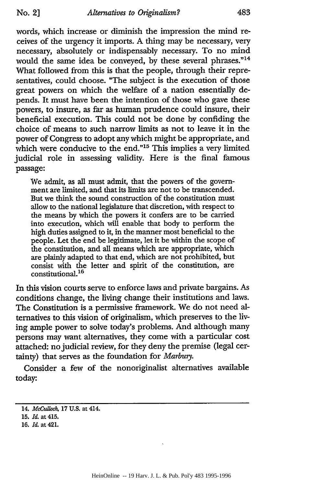words, which increase or diminish the impression the mind receives of the urgency it imports. A thing may be necessary, very necessary, absolutely or indispensably necessary. To no mind would the same idea be conveyed, by these several phrases."14 What followed from this is that the people, through their representatives, could choose. "The subject is the execution of those great powers on which the welfare of a nation essentially depends. It must have been the intention of those who gave these powers, to insure, as far as human prudence could insure, their beneficial execution. This could not be done by confiding the choice of means to such narrow limits as not to leave it in the power of Congress to adopt any which might be appropriate, and which were conducive to the end."<sup>15</sup> This implies a very limited judicial role in assessing validity. Here is the final famous passage:

We admit, as all must admit, that the powers of the government are limited, and that its limits are not to be transcended. But we think the sound construction of the constitution must allow to the national legislature that discretion, with respect to the means by which the powers it confers are to be carried into execution, which Will enable that body to perform the high duties assigned to it, in the manner most beneficial to the people. Let the end be legitimate, let it be within the scope of the constitution, and all means which are appropriate, which are plainly adapted to that end, which are not prohibited, but consist with the letter and spirit of the constitution, are  $\frac{16}{16}$  constitutional.<sup>16</sup>

In this vision courts serve to enforce laws and private bargains. As conditions change, the living change their institutions and laws. The Constitution is a permissive framework. We do not need alternatives to this vision of originalism, which preserves to the living ample power to solve today's problems. And although many persons may want alternatives, they come with a particular cost attached: no judicial review, for they deny the premise (legal certainty) that serves as the foundation for *Marbury*.

Consider a few of the nonoriginalist alternatives available today:

<sup>14.</sup> *McCulloch,* 17 U.S. at 414.

<sup>15.</sup> *Id.* at 415.

**<sup>16.</sup>** *Id.* at 421.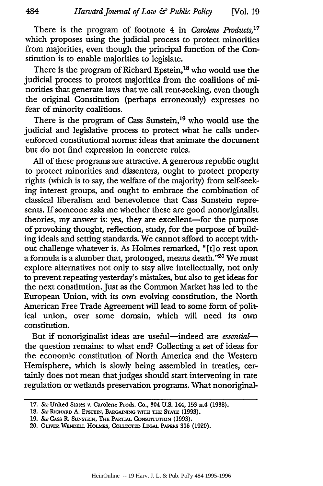There is the program of footnote 4 in *Carolene Products,17* which proposes using the judicial process to protect minorities from majorities, even though the principal function of the Constitution is to enable majorities to legislate.

There is the program of Richard Epstein,<sup>18</sup> who would use the judicial process to protect majorities from the coalitions of minorities that generate laws that we call rent-seeking, even though the original Constitution (perhaps erroneously) expresses no fear of minority coalitions.

There is the program of Cass Sunstein,<sup>19</sup> who would use the judicial and legislative process to protect what he calls underenforced constitutional norms: ideas that animate the document but do not find expression in concrete rules.

All of these programs are attractive. A generous republic ought to protect minorities and dissenters, ought to protect property rights (which is to say, the welfare of the majority) from self-seeking interest groups, and ought to embrace the combination of classical liberalism and benevolence that Cass Sunstein represents. If someone asks me whether these are good nonoriginalist theories, my answer is: yes, they are excellent-for the purpose of provoking thought, reflection, study, for the purpose of building ideals and setting standards. We cannot afford to accept without challenge whatever is. As Holmes remarked, "[t]o rest upon a formula is a slumber that, prolonged, means death."20 We must explore alternatives not only to stay alive intellectually, not only to prevent repeating yesterday's mistakes, but also to get ideas for the next constitution. Just as the Common Market has led to the European Union, with its own evolving constitution, the North American Free Trade Agreement will lead to some form of political union, over some domain, which will need its own constitution.

But if nonoriginalist ideas are useful-indeed are *essential*the question remains: to what end? Collecting a set of ideas for the economic constitution of North America and the Western Hemisphere, which is slowly being assembled in treaties, certainly does not mean that judges should start intervening in rate regulation or wetlands preservation programs. What nonoriginal-

**<sup>17.</sup>** *See* United States v. Carolene Prods. Co., 304 **U.S.** 144, **153** n.4 (1938).

<sup>18.</sup> See Richard A. Epstein, Bargaining with the State (1993).

<sup>19.</sup> *See* Cass R. Sunstein, The Partial Constitution (1993).

<sup>20.</sup> OLIVER WENDELL HOLMES, COLLECTED LEGAL PAPERS 306 (1920).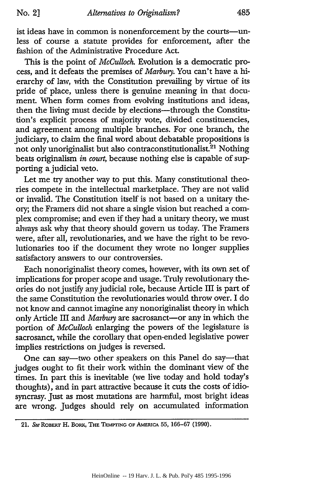ist ideas have in common is nonenforcement by the courts-unless of course a statute provides for enforcement, after the fashion of the Administrative Procedure Act.

This is the point of *McCulloch.* Evolution is a democratic process, and it defeats the premises of *Marbury.* You can't have a hierarchy of law, with the Constitution prevailing by virtue of its pride of place, unless there is genuine meaning in that document. When form comes from evolving institutions and ideas, then the living must decide by elections-through the Constitution's explicit process of majority vote, divided constituencies, and agreement among multiple branches. For one branch, the judiciary, to claim the final word about debatable propositions is not only unoriginalist but also contraconstitutionalist.<sup>21</sup> Nothing beats originalism *in court,* because nothing else is capable of supporting a judicial veto.

Let me try another way to put this. Many constitutional theories compete in the intellectual marketplace. They are not valid or invalid. The Constitution itself is not based on a unitary theory; the Framers did not share a single vision but reached a complex compromise; and even if they had a unitary theory, we must always ask why that theory should govern us today. The Framers were, after all, revolutionaries, and we have the right to be revolutionaries too if the document they wrote no longer supplies satisfactory answers to our controversies.

Each nonoriginalist theory comes, however, with its own set of implications for proper scope and usage. Truly revolutionary theories do not justify any judicial role, because Article III is part of the same Constitution the revolutionaries would throw over. I do not know and cannot imagine any nonoriginalist theory in which only Article III and *Marbury* are sacrosanct-or any in which the portion of *McCulloch* enlarging the powers of the legislature is sacrosanct, while the corollary that open-ended legislative power implies restrictions on judges is reversed.

One can say—two other speakers on this Panel do say—that judges ought to fit their work within the dominant view of the times. In part this is inevitable (we live today and hold today's thoughts), and in part attractive because it cuts the costs of idiosyncrasy. Just as most mutations are harmful, most bright ideas are wrong. Judges should rely on accumulated information

<sup>21.</sup> *See* ROBERT H. BORIK, THE TEMImNG **OF AmERcA 55, 166-67 (1990).**